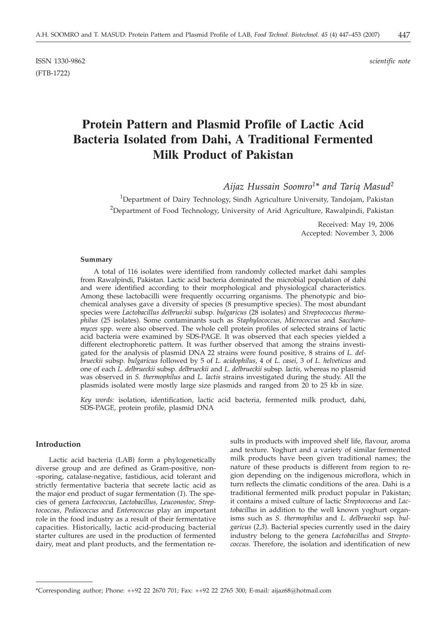ISSN 1330-9862 *scientific note* (FTB-1722)

# **Protein Pattern and Plasmid Profile of Lactic Acid Bacteria Isolated from Dahi, A Traditional Fermented Milk Product of Pakistan**

*Aijaz Hussain Soomro1\* and Tariq Masud2*

 $^{1}$ Department of Dairy Technology, Sindh Agriculture University, Tandojam, Pakistan <sup>2</sup>Department of Food Technology, University of Arid Agriculture, Rawalpindi, Pakistan

> Received: May 19, 2006 Accepted: November 3, 2006

#### **Summary**

A total of 116 isolates were identified from randomly collected market dahi samples from Rawalpindi, Pakistan. Lactic acid bacteria dominated the microbial population of dahi and were identified according to their morphological and physiological characteristics. Among these lactobacilli were frequently occurring organisms. The phenotypic and biochemical analyses gave a diversity of species (8 presumptive species). The most abundant species were *Lactobacillus delbrueckii* subsp. *bulgaricus* (28 isolates) and *Streptococcus thermophilus* (25 isolates). Some contaminants such as *Staphylococcus, Micrococcus* and *Saccharomyces* spp. were also observed. The whole cell protein profiles of selected strains of lactic acid bacteria were examined by SDS-PAGE. It was observed that each species yielded a different electrophoretic pattern. It was further observed that among the strains investigated for the analysis of plasmid DNA 22 strains were found positive, 8 strains of *L. delbrueckii* subsp*. bulgaricus* followed by 5 of *L. acidophilus,* 4 of *L. casei,* 3 of *L. helveticus* and one of each *L. delbrueckii* subsp. *delbrueckii* and *L. delbrueckii* subsp*. lactis,* whereas no plasmid was observed in *S. thermophilus* and *L. lactis* strains investigated during the study. All the plasmids isolated were mostly large size plasmids and ranged from 20 to 25 kb in size.

*Key words:* isolation, identification, lactic acid bacteria, fermented milk product, dahi, SDS-PAGE, protein profile, plasmid DNA

# **Introduction**

Lactic acid bacteria (LAB) form a phylogenetically diverse group and are defined as Gram-positive, non- -sporing, catalase-negative, fastidious, acid tolerant and strictly fermentative bacteria that secrete lactic acid as the major end product of sugar fermentation (*1*). The species of genera *Lactococcus, Lactobacillus, Leuconostoc, Streptococcus, Pediococcus* and *Enterococcus* play an important role in the food industry as a result of their fermentative capacities. Historically, lactic acid-producing bacterial starter cultures are used in the production of fermented dairy, meat and plant products, and the fermentation results in products with improved shelf life, flavour, aroma and texture. Yoghurt and a variety of similar fermented milk products have been given traditional names; the nature of these products is different from region to region depending on the indigenous microflora, which in turn reflects the climatic conditions of the area. Dahi is a traditional fermented milk product popular in Pakistan; it contains a mixed culture of lactic *Streptococcus* and *Lactobacillus* in addition to the well known yoghurt organisms such as *S. thermophilus* and *L. delbrueckii* ssp*. bulgaricus* (*2,3*). Bacterial species currently used in the dairy industry belong to the genera *Lactobacillus* and *Streptococcus*. Therefore, the isolation and identification of new

<sup>\*</sup>Corresponding author; Phone: ++92 22 2670 701; Fax: ++92 22 2765 300; E-mail: aijaz68@hotmail.com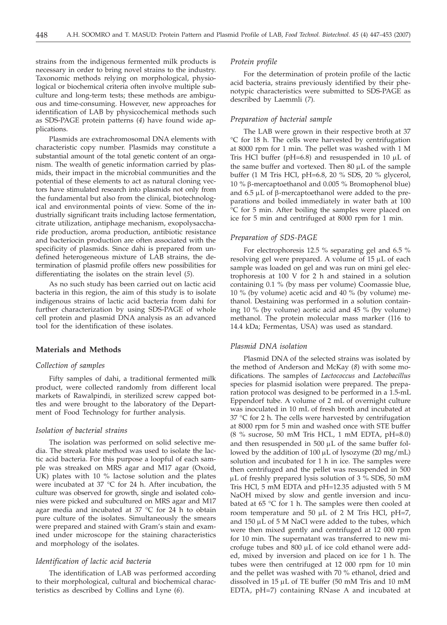strains from the indigenous fermented milk products is necessary in order to bring novel strains to the industry. Taxonomic methods relying on morphological, physiological or biochemical criteria often involve multiple subculture and long-term tests; these methods are ambiguous and time-consuming. However, new approaches for identification of LAB by physicochemical methods such as SDS-PAGE protein patterns (*4*) have found wide applications.

Plasmids are extrachromosomal DNA elements with characteristic copy number. Plasmids may constitute a substantial amount of the total genetic content of an organism. The wealth of genetic information carried by plasmids, their impact in the microbial communities and the potential of these elements to act as natural cloning vectors have stimulated research into plasmids not only from the fundamental but also from the clinical, biotechnological and environmental points of view. Some of the industrially significant traits including lactose fermentation, citrate utilization, antiphage mechanism, exopolysaccharide production, aroma production, antibiotic resistance and bacteriocin production are often associated with the specificity of plasmids. Since dahi is prepared from undefined heterogeneous mixture of LAB strains, the determination of plasmid profile offers new possibilities for differentiating the isolates on the strain level (*5*).

As no such study has been carried out on lactic acid bacteria in this region, the aim of this study is to isolate indigenous strains of lactic acid bacteria from dahi for further characterization by using SDS-PAGE of whole cell protein and plasmid DNA analysis as an advanced tool for the identification of these isolates.

# **Materials and Methods**

# *Collection of samples*

Fifty samples of dahi, a traditional fermented milk product, were collected randomly from different local markets of Rawalpindi, in sterilized screw capped bottles and were brought to the laboratory of the Department of Food Technology for further analysis.

## *Isolation of bacterial strains*

The isolation was performed on solid selective media. The streak plate method was used to isolate the lactic acid bacteria. For this purpose a loopful of each sample was streaked on MRS agar and M17 agar (Oxoid, UK) plates with 10 % lactose solution and the plates were incubated at 37 °C for 24 h. After incubation, the culture was observed for growth, single and isolated colonies were picked and subcultured on MRS agar and M17 agar media and incubated at 37 °C for 24 h to obtain pure culture of the isolates. Simultaneously the smears were prepared and stained with Gram's stain and examined under microscope for the staining characteristics and morphology of the isolates.

## *Identification of lactic acid bacteria*

The identification of LAB was performed according to their morphological, cultural and biochemical characteristics as described by Collins and Lyne (*6*).

### *Protein profile*

For the determination of protein profile of the lactic acid bacteria, strains previously identified by their phenotypic characteristics were submitted to SDS-PAGE as described by Laemmli (*7*).

# *Preparation of bacterial sample*

The LAB were grown in their respective broth at 37 °C for 18 h. The cells were harvested by centrifugation at 8000 rpm for 1 min. The pellet was washed with 1 M Tris HCl buffer ( $pH=6.8$ ) and resuspended in 10  $\mu$ L of the same buffer and vortexed. Then  $80 \mu L$  of the sample buffer (1 M Tris HCl, pH=6.8, 20 % SDS, 20 % glycerol, 10 % b-mercaptoethanol and 0.005 % Bromophenol blue) and  $6.5 \mu L$  of  $\beta$ -mercaptoethanol were added to the preparations and boiled immediately in water bath at 100 °C for 5 min. After boiling the samples were placed on ice for 5 min and centrifuged at 8000 rpm for 1 min.

#### *Preparation of SDS-PAGE*

For electrophoresis 12.5 % separating gel and 6.5 % resolving gel were prepared. A volume of  $15 \mu L$  of each sample was loaded on gel and was run on mini gel electrophoresis at 100 V for 2 h and stained in a solution containing 0.1 % (by mass per volume) Coomassie blue, 10 % (by volume) acetic acid and 40 % (by volume) methanol. Destaining was performed in a solution containing 10 % (by volume) acetic acid and 45 % (by volume) methanol. The protein molecular mass marker (116 to 14.4 kDa; Fermentas, USA) was used as standard.

## *Plasmid DNA isolation*

Plasmid DNA of the selected strains was isolated by the method of Anderson and McKay (*8*) with some modifications. The samples of *Lactococcus* and *Lactobacillus* species for plasmid isolation were prepared. The preparation protocol was designed to be performed in a 1.5-mL Eppendorf tube. A volume of 2 mL of overnight culture was inoculated in 10 mL of fresh broth and incubated at 37 °C for 2 h. The cells were harvested by centrifugation at 8000 rpm for 5 min and washed once with STE buffer (8 % sucrose, 50 mM Tris HCL, 1 mM EDTA, pH=8.0) and then resuspended in  $500 \mu L$  of the same buffer followed by the addition of  $100 \mu L$  of lysozyme (20 mg/mL) solution and incubated for 1 h in ice. The samples were then centrifuged and the pellet was resuspended in 500  $\mu$ L of freshly prepared lysis solution of 3 % SDS, 50 mM Tris HCl, 5 mM EDTA and pH=12.35 adjusted with 5 M NaOH mixed by slow and gentle inversion and incubated at  $65 \text{ °C}$  for 1 h. The samples were then cooled at room temperature and 50  $\mu$ L of 2 M Tris HCl, pH=7, and  $150 \mu L$  of 5 M NaCl were added to the tubes, which were then mixed gently and centrifuged at 12 000 rpm for 10 min. The supernatant was transferred to new microfuge tubes and  $800 \mu L$  of ice cold ethanol were added, mixed by inversion and placed on ice for 1 h. The tubes were then centrifuged at 12 000 rpm for 10 min and the pellet was washed with 70 % ethanol, dried and dissolved in  $15 \mu L$  of TE buffer (50 mM Tris and 10 mM EDTA, pH=7) containing RNase A and incubated at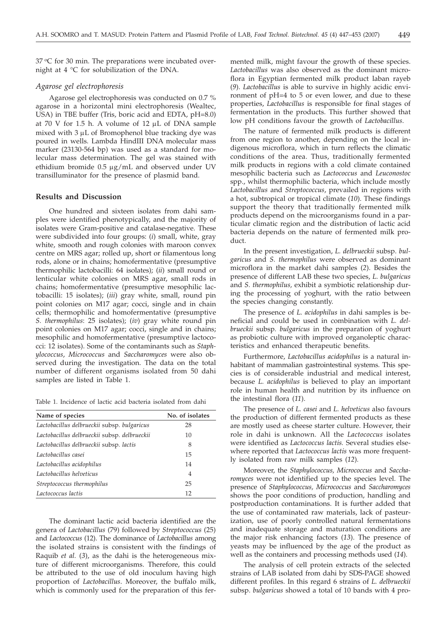37 °C for 30 min. The preparations were incubated overnight at 4 °C for solubilization of the DNA.

## *Agarose gel electrophoresis*

Agarose gel electrophoresis was conducted on 0.7 % agarose in a horizontal mini electrophoresis (Wealtec, USA) in TBE buffer (Tris, boric acid and EDTA, pH=8.0) at 70 V for 1.5 h. A volume of 12  $\mu$ L of DNA sample mixed with  $3 \mu L$  of Bromophenol blue tracking dye was poured in wells. Lambda HindIII DNA molecular mass marker (23130-564 bp) was used as a standard for molecular mass determination. The gel was stained with ethidium bromide 0.5 mg/mL and observed under UV transilluminator for the presence of plasmid band.

# **Results and Discussion**

One hundred and sixteen isolates from dahi samples were identified phenotypically, and the majority of isolates were Gram-positive and catalase-negative. These were subdivided into four groups: (*i*) small, white, gray white, smooth and rough colonies with maroon convex centre on MRS agar; rolled up, short or filamentous long rods, alone or in chains; homofermentative (presumptive thermophilic lactobacilli: 64 isolates); (*ii*) small round or lenticular white colonies on MRS agar, small rods in chains; homofermentative (presumptive mesophilic lactobacilli: 15 isolates); (*iii*) gray white, small, round pin point colonies on M17 agar; cocci, single and in chain cells; thermophilic and homofermentative (presumptive *S. thermophilus*: 25 isolates); (*iv*) gray white round pin point colonies on M17 agar; cocci, single and in chains; mesophilic and homofermentative (presumptive lactococci: 12 isolates). Some of the contaminants such as *Staphylococcus*, *Micrococcus* and *Saccharomyces* were also observed during the investigation. The data on the total number of different organisms isolated from 50 dahi samples are listed in Table 1.

Table 1. Incidence of lactic acid bacteria isolated from dahi

| Name of species                              | No. of isolates |
|----------------------------------------------|-----------------|
| Lactobacillus delbrueckii subsp. bulgaricus  | 28              |
| Lactobacillus delbrueckii subsp. delbrueckii | 10              |
| Lactobacillus delbrueckii subsp. lactis      | 8               |
| Lactobacillus casei                          | 15              |
| Lactobacillus acidophilus                    | 14              |
| Lactobacillus helveticus                     | $\overline{4}$  |
| Streptococcus thermophilus                   | 25              |
| Lactococcus lactis                           | 12              |

The dominant lactic acid bacteria identified are the genera of *Lactobacillus* (79) followed by *Streptococcus* (25) and *Lactococcus* (12). The dominance of *Lactobacillus* among the isolated strains is consistent with the findings of Raquib *et al.* (*3*), as the dahi is the heterogeneous mixture of different microorganisms. Therefore, this could be attributed to the use of old inoculum having high proportion of *Lactobacillus*. Moreover, the buffalo milk, which is commonly used for the preparation of this fermented milk, might favour the growth of these species. *Lactobacillus* was also observed as the dominant microflora in Egyptian fermented milk product laban rayeb (*9*). *Lactobacillus* is able to survive in highly acidic environment of pH=4 to 5 or even lower, and due to these properties, *Lactobacillus* is responsible for final stages of fermentation in the products. This further showed that low pH conditions favour the growth of *Lactobacillus*.

The nature of fermented milk products is different from one region to another, depending on the local indigenous microflora, which in turn reflects the climatic conditions of the area. Thus, traditionally fermented milk products in regions with a cold climate contained mesophilic bacteria such as *Lactococcus* and *Leuconostoc* spp., whilst thermophilic bacteria, which include mostly *Lactobacillus* and *Streptococcus*, prevailed in regions with a hot, subtropical or tropical climate (*10*). These findings support the theory that traditionally fermented milk products depend on the microorganisms found in a particular climatic region and the distribution of lactic acid bacteria depends on the nature of fermented milk product.

In the present investigation, *L. delbrueckii* subsp. *bulgaricus* and *S. thermophilus* were observed as dominant microflora in the market dahi samples (*2*). Besides the presence of different LAB these two species, *L. bulgaricus* and *S. thermophilus,* exhibit a symbiotic relationship during the processing of yoghurt, with the ratio between the species changing constantly.

The presence of *L. acidophilus* in dahi samples is beneficial and could be used in combination with *L. delbrueckii* subsp*. bulgaricus* in the preparation of yoghurt as probiotic culture with improved organoleptic characteristics and enhanced therapeutic benefits.

Furthermore, *Lactobacillus acidophilus* is a natural inhabitant of mammalian gastrointestinal systems. This species is of considerable industrial and medical interest, because *L. acidophilus* is believed to play an important role in human health and nutrition by its influence on the intestinal flora (*11*).

The presence of *L. casei* and *L. helveticus* also favours the production of different fermented products as these are mostly used as cheese starter culture. However, their role in dahi is unknown. All the *Lactococcus* isolates were identified as *Lactococcus lactis.* Several studies elsewhere reported that *Lactococcus lactis* was more frequently isolated from raw milk samples (*12*)*.*

Moreover, the *Staphylococcus, Micrococcus* and *Saccharomyces* were not identified up to the species level. The presence of *Staphylococcus, Micrococcus* and *Saccharomyces* shows the poor conditions of production, handling and postproduction contaminations. It is further added that the use of contaminated raw materials, lack of pasteurization, use of poorly controlled natural fermentations and inadequate storage and maturation conditions are the major risk enhancing factors (*13*). The presence of yeasts may be influenced by the age of the product as well as the containers and processing methods used (*14*).

The analysis of cell protein extracts of the selected strains of LAB isolated from dahi by SDS-PAGE showed different profiles. In this regard 6 strains of *L. delbrueckii* subsp. *bulgaricus* showed a total of 10 bands with 4 pro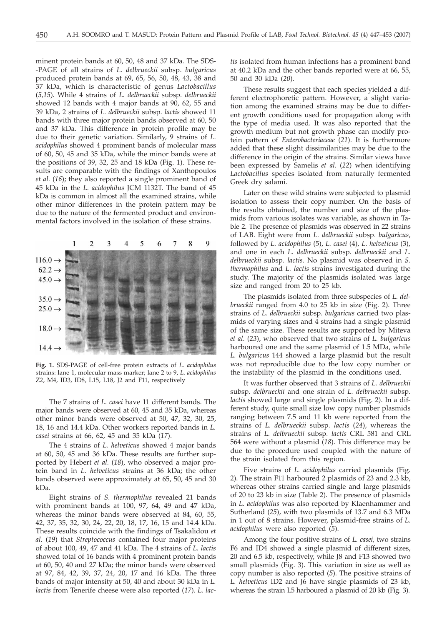minent protein bands at 60, 50, 48 and 37 kDa. The SDS- -PAGE of all strains of *L. delbrueckii* subsp. *bulgaricus* produced protein bands at 69, 65, 56, 50, 48, 43, 38 and 37 kDa, which is characteristic of genus *Lactobacillus* (*5,15*). While 4 strains of *L. delbrueckii* subsp*. delbrueckii* showed 12 bands with 4 major bands at 90, 62, 55 and 39 kDa, 2 strains of *L. delbrueckii* subsp*. lactis* showed 11 bands with three major protein bands observed at 60, 50 and 37 kDa. This difference in protein profile may be due to their genetic variation. Similarly, 9 strains of *L. acidophilus* showed 4 prominent bands of molecular mass of 60, 50, 45 and 35 kDa, while the minor bands were at the positions of 39, 32, 25 and 18 kDa (Fig. 1). These results are comparable with the findings of Xanthopoulos *et al*. (*16*); they also reported a single prominent band of 45 kDa in the *L. acidophilus* JCM 1132T. The band of 45 kDa is common in almost all the examined strains, while other minor differences in the protein pattern may be due to the nature of the fermented product and environmental factors involved in the isolation of these strains.



**Fig. 1.** SDS-PAGE of cell-free protein extracts of *L. acidophilus* strains: lane 1, molecular mass marker; lane 2 to 9, *L. acidophilus* Z2, M4, ID3, ID8, L15, L18, J2 and F11, respectively

The 7 strains of *L. casei* have 11 different bands. The major bands were observed at 60, 45 and 35 kDa, whereas other minor bands were observed at 50, 47, 32, 30, 25, 18, 16 and 14.4 kDa. Other workers reported bands in *L. casei* strains at 66, 62, 45 and 35 kDa (*17*).

The 4 strains of *L. helveticus* showed 4 major bands at 60, 50, 45 and 36 kDa. These results are further supported by Hebert *et al.* (*18*), who observed a major protein band in *L. helveticus* strains at 36 kDa; the other bands observed were approximately at 65, 50, 45 and 30 kDa.

Eight strains of *S. thermophilus* revealed 21 bands with prominent bands at 100, 97, 64, 49 and 47 kDa, whereas the minor bands were observed at 84, 60, 55, 42, 37, 35, 32, 30, 24, 22, 20, 18, 17, 16, 15 and 14.4 kDa. These results coincide with the findings of Tsakalidou *et al.* (*19*) that *Streptococcus* contained four major proteins of about 100, 49, 47 and 41 kDa. The 4 strains of *L. lactis* showed total of 16 bands with 4 prominent protein bands at 60, 50, 40 and 27 kDa; the minor bands were observed at 97, 84, 42, 39, 37, 24, 20, 17 and 16 kDa. The three bands of major intensity at 50, 40 and about 30 kDa in *L. lactis* from Tenerife cheese were also reported (*17*). *L. lac-*

*tis* isolated from human infections has a prominent band at 40.2 kDa and the other bands reported were at 66, 55, 50 and 30 kDa (*20*).

These results suggest that each species yielded a different electrophoretic pattern. However, a slight variation among the examined strains may be due to different growth conditions used for propagation along with the type of media used. It was also reported that the growth medium but not growth phase can modify protein pattern of *Enterobacteriaceae* (*21*). It is furthermore added that these slight dissimilarities may be due to the difference in the origin of the strains. Similar views have been expressed by Samelis *et al.* (*22*) when identifying *Lactobacillus* species isolated from naturally fermented Greek dry salami.

Later on these wild strains were subjected to plasmid isolation to assess their copy number. On the basis of the results obtained, the number and size of the plasmids from various isolates was variable, as shown in Table 2. The presence of plasmids was observed in 22 strains of LAB. Eight were from *L. delbrueckii* subsp. *bulgaricus*, followed by *L. acidophilus* (5), *L. casei* (4)*, L. helveticus* (3)*,* and one in each *L. delbrueckii* subsp*. delbrueckii* and *L. delbrueckii* subsp*. lactis*. No plasmid was observed in *S. thermophilus* and *L. lactis* strains investigated during the study. The majority of the plasmids isolated was large size and ranged from 20 to 25 kb.

The plasmids isolated from three subspecies of *L. delbrueckii* ranged from 4.0 to 25 kb in size (Fig. 2). Three strains of *L. delbrueckii* subsp. *bulgaricus* carried two plasmids of varying sizes and 4 strains had a single plasmid of the same size. These results are supported by Miteva *et al.* (*23*), who observed that two strains of *L. bulgaricus* harboured one and the same plasmid of 1.5 MDa, while *L. bulgaricus* 144 showed a large plasmid but the result was not reproducible due to the low copy number or the instability of the plasmid in the conditions used.

It was further observed that 3 strains of *L. delbrueckii* subsp. *delbrueckii* and one strain of *L. delbrueckii* subsp*. lactis* showed large and single plasmids (Fig. 2). In a different study, quite small size low copy number plasmids ranging between 7.5 and 11 kb were reported from the strains of *L. delbrueckii* subsp*. lactis* (*24*), whereas the strains of *L. delbrueckii* subsp*. lactis* CRL 581 and CRL 564 were without a plasmid (*18*). This difference may be due to the procedure used coupled with the nature of the strain isolated from this region.

Five strains of *L. acidophilus* carried plasmids (Fig. 2). The strain F11 harboured 2 plasmids of 23 and 2.3 kb, whereas other strains carried single and large plasmids of 20 to 23 kb in size (Table 2). The presence of plasmids in *L. acidophilus* was also reported by Klaenhammer and Sutherland (*25*), with two plasmids of 13.7 and 6.3 MDa in 1 out of 8 strains. However, plasmid-free strains of *L. acidophilus* were also reported (*5*).

Among the four positive strains of *L. casei,* two strains F6 and ID4 showed a single plasmid of different sizes, 20 and 6.5 kb, respectively, while J8 and F13 showed two small plasmids (Fig. 3). This variation in size as well as copy number is also reported (*5*). The positive strains of *L. helveticus* ID2 and J6 have single plasmids of 23 kb, whereas the strain L5 harboured a plasmid of 20 kb (Fig. 3).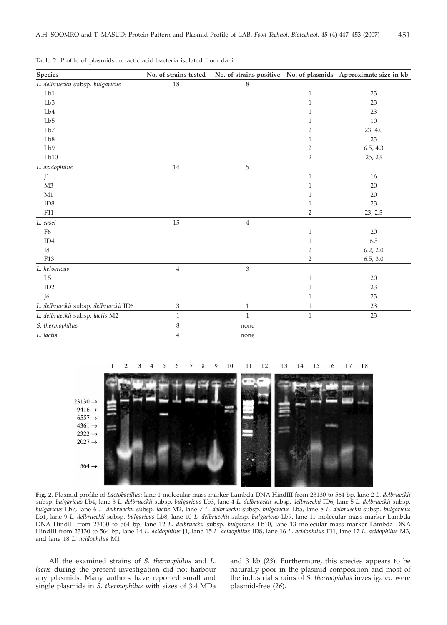| Species                               | No. of strains tested     |                           |                | No. of strains positive No. of plasmids Approximate size in kb |
|---------------------------------------|---------------------------|---------------------------|----------------|----------------------------------------------------------------|
| L. delbrueckii subsp. bulgaricus      | $18\,$                    | $\,$ 8 $\,$               |                |                                                                |
| Lb1                                   |                           |                           | $\mathbf{1}$   | 23                                                             |
| Lb <sub>3</sub>                       |                           |                           | 1              | 23                                                             |
| Lb4                                   |                           |                           | 1              | 23                                                             |
| Lb5                                   |                           |                           | 1              | $10\,$                                                         |
| Lb7                                   |                           |                           | $\overline{2}$ | 23, 4.0                                                        |
| Lb8                                   |                           |                           | 1              | 23                                                             |
| Lb9                                   |                           |                           | $\overline{2}$ | 6.5, 4.3                                                       |
| Lb10                                  |                           |                           | 2              | 25, 23                                                         |
| L. acidophilus                        | $14\,$                    | $\mathbf 5$               |                |                                                                |
| J1                                    |                           |                           | 1              | 16                                                             |
| M <sub>3</sub>                        |                           |                           | 1              | $20\,$                                                         |
| M1                                    |                           |                           | 1              | 20                                                             |
| ID <sub>8</sub>                       |                           |                           | 1              | 23                                                             |
| F11                                   |                           |                           | $\overline{2}$ | 23, 2.3                                                        |
| L. casei                              | 15                        | $\overline{4}$            |                |                                                                |
| F <sub>6</sub>                        |                           |                           | $\mathbf{1}$   | 20                                                             |
| ID4                                   |                           |                           | 1              | 6.5                                                            |
| J8                                    |                           |                           | $\overline{2}$ | 6.2, 2.0                                                       |
| F13                                   |                           |                           | $\overline{2}$ | 6.5, 3.0                                                       |
| L. helveticus                         | $\,4$                     | $\ensuremath{\mathsf{3}}$ |                |                                                                |
| L5                                    |                           |                           | 1              | 20                                                             |
| ID2                                   |                           |                           | 1              | 23                                                             |
| J <sub>6</sub>                        |                           |                           | $\mathbf{1}$   | 23                                                             |
| L. delbrueckii subsp. delbrueckii ID6 | $\ensuremath{\mathsf{3}}$ | $\mathbf{1}$              | $\mathbf{1}$   | 23                                                             |
| L. delbrueckii subsp. lactis M2       | $\,1\,$                   | $\,1\,$                   | $\mathbf{1}$   | 23                                                             |
| S. thermophilus                       | $\,8\,$                   | none                      |                |                                                                |
| L. lactis                             | $\,4$                     | none                      |                |                                                                |

Table 2. Profile of plasmids in lactic acid bacteria isolated from dahi



**Fig. 2**. Plasmid profile of *Lactobacillus*: lane 1 molecular mass marker Lambda DNA HindIII from 23130 to 564 bp, lane 2 *L. delbrueckii* subsp*. bulgaricus* Lb4, lane 3 *L. delbrueckii* subsp*. bulgaricus* Lb3, lane 4 *L. delbrueckii* subsp*. delbrueckii* ID6*,* lane 5 *L. delbrueckii* subsp*. bulgaricus* Lb7*,* lane 6 *L. delbrueckii* subsp. *lactis* M2, lane 7 *L. delbrueckii* subsp*. bulgaricus* Lb5, lane 8 *L. delbrueckii* subsp*. bulgaricus* Lb1, lane 9 *L. delbrueckii* subsp*. bulgaricus* Lb8, lane 10 *L. delbrueckii* subsp*. bulgaricus* Lb9, lane 11 molecular mass marker Lambda DNA HindIII from 23130 to 564 bp, lane 12 *L. delbrueckii* subsp*. bulgaricus* Lb10, lane 13 molecular mass marker Lambda DNA HindIII from 23130 to 564 bp, lane 14 *L. acidophilus* J1, lane 15 *L. acidophilus* ID8, lane 16 *L. acidophilus* F11, lane 17 *L. acidophilus* M3, and lane 18 *L. acidophilus* M1

All the examined strains of *S. thermophilus* and *L. lactis* during the present investigation did not harbour any plasmids. Many authors have reported small and single plasmids in *S. thermophilus* with sizes of 3.4 MDa

and 3 kb (*23*). Furthermore, this species appears to be naturally poor in the plasmid composition and most of the industrial strains of *S. thermophilus* investigated were plasmid-free (*26*).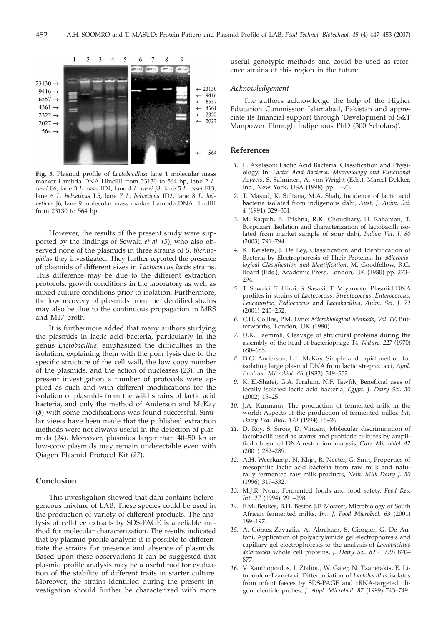

**Fig. 3.** Plasmid profile of *Lactobacillus*: lane 1 molecular mass marker Lambda DNA HindIII from 23130 to 564 bp, lane 2 *L. casei* F6, lane 3 *L. casei* ID4, lane 4 *L. casei* J8, lane 5 *L. casei* F13, lane 6 *L. helveticus* L5, lane 7 *L. helveticus* ID2, lane 8 *L. helveticus* J6*,* lane 9 molecular mass marker Lambda DNA HindIII from 23130 to 564 bp

However, the results of the present study were supported by the findings of Sewaki *et al.* (*5*), who also observed none of the plasmids in three strains of *S. thermophilus* they investigated. They further reported the presence of plasmids of different sizes in *Lactococcus lactis* strains. This difference may be due to the different extraction protocols, growth conditions in the laboratory as well as mixed culture conditions prior to isolation. Furthermore, the low recovery of plasmids from the identified strains may also be due to the continuous propagation in MRS and M17 broth.

It is furthermore added that many authors studying the plasmids in lactic acid bacteria, particularly in the genus *Lactobacillus,* emphasized the difficulties in the isolation, explaining them with the poor lysis due to the specific structure of the cell wall, the low copy number of the plasmids, and the action of nucleases (*23*). In the present investigation a number of protocols were applied as such and with different modifications for the isolation of plasmids from the wild strains of lactic acid bacteria, and only the method of Anderson and McKay (*8*) with some modifications was found successful. Similar views have been made that the published extraction methods were not always useful in the detection of plasmids (*24*). Moreover, plasmids larger than 40–50 kb or low-copy plasmids may remain undetectable even with Qiagen Plasmid Protocol Kit (*27*).

## **Conclusion**

This investigation showed that dahi contains heterogeneous mixture of LAB. These species could be used in the production of variety of different products. The analysis of cell-free extracts by SDS-PAGE is a reliable method for molecular characterization. The results indicated that by plasmid profile analysis it is possible to differentiate the strains for presence and absence of plasmids. Based upon these observations it can be suggested that plasmid profile analysis may be a useful tool for evaluation of the stability of different traits in starter culture. Moreover, the strains identified during the present investigation should further be characterized with more

useful genotypic methods and could be used as reference strains of this region in the future.

# *Acknowledgement*

The authors acknowledge the help of the Higher Education Commission Islamabad, Pakistan and appreciate its financial support through 'Development of S&T Manpower Through Indigenous PhD (300 Scholars)'.

# **References**

- *1.* L. Axelsson: Lactic Acid Bacteria: Classification and Physiology. In*: Lactic Acid Bacteria: Microbiology and Functional Aspects*, S. Salminen, A. von Wright (Eds.), Marcel Dekker, Inc., New York, USA (1998) pp. 1–73.
- *2.* T. Masud, K. Sultana, M.A. Shah, Incidence of lactic acid bacteria isolated from indigenous dahi, *Aust. J. Anim. Sci. 4* (1991) 329–331.
- *3.* M. Raquib, B. Trishna, R.K. Choudhary, H. Rahaman, T. Borpuzari, Isolation and characterization of lactobacilli isolated from market sample of sour dahi, *Indian Vet. J. 80* (2003) 791–794.
- *4.* K. Kersters, J. De Ley, Classification and Identification of Bacteria by Electrophoresis of Their Proteins. In: *Microbiological Classification and Identification*, M. Goodfellow, R.G. Board (Eds.), Academic Press, London, UK (1980) pp. 273– 294.
- *5.* T. Sewaki, T. Hirai, S. Sasaki, T. Miyamoto, Plasmid DNA profiles in strains of *Lactococcus, Streptococcus, Enterococcus, Leuconostoc, Pediococcus* and *Lactobacillus*, *Anim. Sci. J. 72* (2001) 245–252.
- *6.* C.H. Collins, P.M. Lyne: *Microbiological Methods, Vol. IV*, Butterworths, London, UK (1980).
- *7.* U.K. Laemmli, Cleavage of structural proteins during the assembly of the head of bacteriophage T4, *Nature, 227* (1970) 680–685.
- *8.* D.G. Anderson, L.L. McKay, Simple and rapid method for isolating large plasmid DNA from lactic streptococci, *Appl. Environ. Microbiol. 46* (1983) 549–552.
- *9.* K. El-Shafei, G.A. Ibrahim, N.F. Tawfik, Beneficial uses of locally isolated lactic acid bacteria, *Egypt. J. Dairy Sci. 30* (2002) 15–25.
- *10.* J.A. Kurmann, The production of fermented milk in the world: Aspects of the production of fermented milks, *Int. Dairy Fed. Bull. 179* (1994) 16–26.
- *11.* D. Roy, S. Sirois, D. Vincent, Molecular discrimination of lactobacilli used as starter and probiotic cultures by amplified ribosomal DNA restriction analysis, *Curr. Microbiol. 42* (2001) 282–289.
- *12.* A.H. Weerkamp, N. Klijn, R. Neeter, G. Smit, Properties of mesophilic lactic acid bacteria from raw milk and naturally fermented raw milk products, *Neth. Milk Dairy J. 50* (1996) 319–332.
- *13.* M.J.R. Nout, Fermented foods and food safety, *Food Res. Int. 27* (1994) 291–298.
- *14.* E.M. Beukes, B.H. Bester, J.F. Mostert, Microbiology of South African fermented milks, *Int. J. Food Microbiol. 63* (2001) 189–197.
- *15.* A. Gómez-Zavaglia, A. Abraham, S. Giorgier, G. De Antoni, Application of polyacrylamide gel electrophoresis and capillary gel electrophoresis to the analysis of *Lactobacillus delbrueckii* whole cell proteins, *J. Dairy Sci. 82* (1999) 870– 877.
- *16.* V. Xanthopoulos, I. Ztaliou, W. Gaier, N. Tzanetakis, E. Litopoulou-Tzanetaki, Differentiation of *Lactobacillus* isolates from infant faeces by SDS-PAGE and rRNA-targeted oligonucleotide probes, *J. Appl. Microbiol. 87* (1999) 743–749.